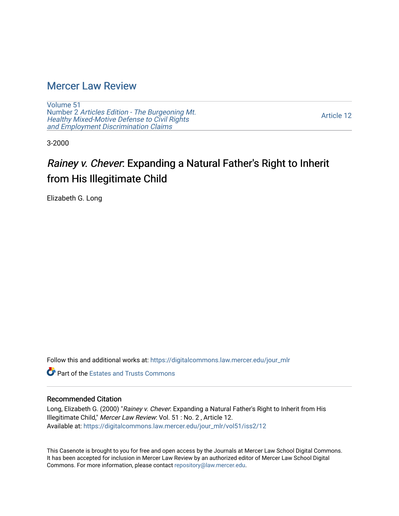### [Mercer Law Review](https://digitalcommons.law.mercer.edu/jour_mlr)

[Volume 51](https://digitalcommons.law.mercer.edu/jour_mlr/vol51) Number 2 [Articles Edition - The Burgeoning Mt.](https://digitalcommons.law.mercer.edu/jour_mlr/vol51/iss2)  Healthy [Mixed-Motive Defense to Civil Rights](https://digitalcommons.law.mercer.edu/jour_mlr/vol51/iss2)  [and Employment Discrimination Claims](https://digitalcommons.law.mercer.edu/jour_mlr/vol51/iss2)

[Article 12](https://digitalcommons.law.mercer.edu/jour_mlr/vol51/iss2/12) 

3-2000

# Rainey v. Chever: Expanding a Natural Father's Right to Inherit from His Illegitimate Child

Elizabeth G. Long

Follow this and additional works at: [https://digitalcommons.law.mercer.edu/jour\\_mlr](https://digitalcommons.law.mercer.edu/jour_mlr?utm_source=digitalcommons.law.mercer.edu%2Fjour_mlr%2Fvol51%2Fiss2%2F12&utm_medium=PDF&utm_campaign=PDFCoverPages)

**Part of the Estates and Trusts Commons** 

### Recommended Citation

Long, Elizabeth G. (2000) "Rainey v. Chever: Expanding a Natural Father's Right to Inherit from His Illegitimate Child," Mercer Law Review: Vol. 51 : No. 2 , Article 12. Available at: [https://digitalcommons.law.mercer.edu/jour\\_mlr/vol51/iss2/12](https://digitalcommons.law.mercer.edu/jour_mlr/vol51/iss2/12?utm_source=digitalcommons.law.mercer.edu%2Fjour_mlr%2Fvol51%2Fiss2%2F12&utm_medium=PDF&utm_campaign=PDFCoverPages) 

This Casenote is brought to you for free and open access by the Journals at Mercer Law School Digital Commons. It has been accepted for inclusion in Mercer Law Review by an authorized editor of Mercer Law School Digital Commons. For more information, please contact [repository@law.mercer.edu.](mailto:repository@law.mercer.edu)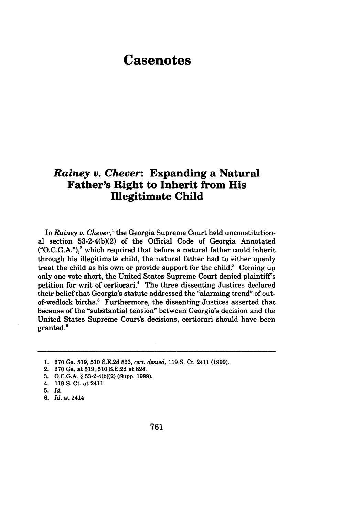## **Casenotes**

### *Rainey v. Chever:* **Expanding a Natural Father's Right to Inherit from His Illegitimate Child**

In *Rainey v. Chever,'* the Georgia Supreme Court held unconstitutional section 53-2-4(b)(2) of the Official Code of Georgia Annotated  $(*O.C.G.A.")$ <sup>2</sup> which required that before a natural father could inherit through his illegitimate child, the natural father had to either openly treat the child as his own or provide support for the child. $3$  Coming up only one vote short, the United States Supreme Court denied plaintiff's petition for writ of certiorari.4 The three dissenting Justices declared their belief that Georgia's statute addressed the "alarming trend" of outof-wedlock births.<sup>5</sup> Furthermore, the dissenting Justices asserted that because of the "substantial tension" between Georgia's decision and the United States Supreme Court's decisions, certiorari should have been granted.'

<sup>1. 270</sup> Ga. 519, 510 S.E.2d 823, *cert. denied,* 119 S. Ct. 2411 (1999).

<sup>2. 270</sup> Ga. at 519, 510 S.E.2d at 824.

<sup>3.</sup> O.C.G.A. § 53-2-4(b)(2) (Supp. 1999).

<sup>4. 119</sup> S. Ct. at 2411.

**<sup>5.</sup>** *Id.*

*<sup>6.</sup> Id.* at 2414.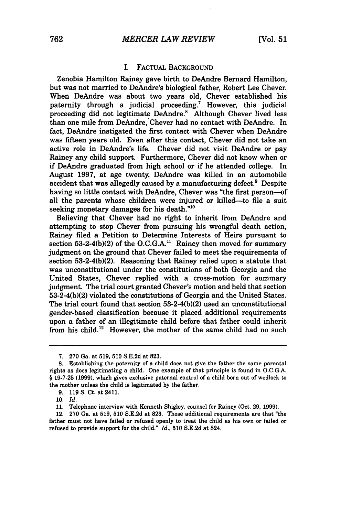#### I. FACTUAL BACKGROUND

Zenobia Hamilton Rainey gave birth to DeAndre Bernard Hamilton, but was not married to DeAndre's biological father, Robert Lee Chever. When DeAndre was about two years old, Chever established his paternity through a judicial proceeding.<sup> $\dot{\tau}$ </sup> However, this judicial proceeding did not legitimate DeAndre.<sup>8</sup> Although Chever lived less than one mile from DeAndre, Chever had no contact with DeAndre. In fact, DeAndre instigated the first contact with Chever when DeAndre was fifteen years old. Even after this contact, Chever did not take an active role in DeAndre's life. Chever did not visit DeAndre or pay Rainey any child support. Furthermore, Chever did not know when or if DeAndre graduated from high school or if he attended college. In August **1997,** at age twenty, DeAndre was killed in an automobile accident that was allegedly caused by a manufacturing defect.<sup>9</sup> Despite having so little contact with DeAndre, Chever was "the first person-of all the parents whose children were injured or killed-to file a suit seeking monetary damages for his death."<sup>10</sup>

Believing that Chever had no right to inherit from DeAndre and attempting to stop Chever from pursuing his wrongful death action, Rainey filed a Petition to Determine Interests of Heirs pursuant to section 53-2-4(b)(2) of the O.C.G.A.<sup>11</sup> Rainey then moved for summary judgment on the ground that Chever failed to meet the requirements of section 53-2-4(b)(2). Reasoning that Rainey relied upon a statute that was unconstitutional under the constitutions of both Georgia and the United States, Chever replied with a cross-motion for summary judgment. The trial court granted Chever's motion and held that section 53-2-4(b)(2) violated the constitutions of Georgia and the United States. The trial court found that section 53-2-4(b)(2) used an unconstitutional gender-based classification because it placed additional requirements upon a father of an illegitimate child before that father could inherit from his child.<sup>12</sup> However, the mother of the same child had no such

<sup>7.</sup> **270** Ga. at 519, **510** S.E.2d at 823.

**<sup>8.</sup>** Establishing the paternity of a child does not give the father the same parental rights as does legitimating a child. One example of that principle is found in O.C.G.A. § 19-7-25 **(1999),** which gives exclusive paternal control of a child born out of wedlock to the mother unless the child is legitimated by the father.

**<sup>9. 119</sup> S.** Ct. at 2411.

*<sup>10.</sup> Id.*

<sup>11.</sup> Telephone interview with Kenneth Shigley, counsel for Rainey (Oct. 29, 1999).

<sup>12. 270</sup> Ga. at 519, 510 S.E.2d at 823. Those additional requirements are that "the father must not have failed or refused openly to treat the child as his own or failed or refused to provide support for the child." *Id.,* **510** S.E.2d at 824.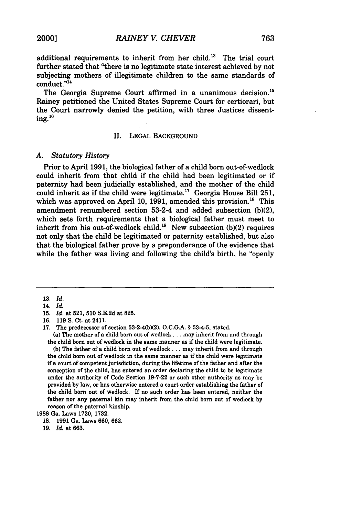additional requirements to inherit from her child." The trial court further stated that "there is no legitimate state interest achieved by not subjecting mothers of illegitimate children to the same standards of conduct."14

The Georgia Supreme Court affirmed in a unanimous decision.<sup>15</sup> Rainey petitioned the United States Supreme Court for certiorari, but the Court narrowly denied the petition, with three Justices dissent- $\mathrm{ing.}^{16}$ 

#### II. LEGAL BACKGROUND

#### *A. Statutory History*

Prior to April **1991,** the biological father of a child born out-of-wedlock could inherit from that child if the child had been legitimated or if paternity had been judicially established, and the mother of the child could inherit as if the child were legitimate.<sup>17</sup> Georgia House Bill 251, which was approved on April 10, 1991, amended this provision.<sup>18</sup> This amendment renumbered section 53-2-4 and added subsection **(b)(2),** which sets forth requirements that a biological father must meet to inherit from his out-of-wedlock child.<sup>19</sup> New subsection (b)(2) requires not only that the child be legitimated or paternity established, but also that the biological father prove **by** a preponderance of the evidence that while the father was living and following the child's birth, he "openly

**17.** The predecessor of section **53-2-4(b)(2), O.C.G.A.** § **53-4-5,** stated,

(a) The mother of a child born out of wedlock... may inherit from and through the child born out of wedlock in the same manner as if the child were legitimate. **(b)** The father of a child born out of wedlock... may inherit from and through

the child born out of wedlock in the same manner as if the child were legitimate if a court of competent jurisdiction, during the lifetime of the father and after the conception of the child, has entered an order declaring the child to **be** legitimate under the authority of Code Section **19-7-22** or such other authority as may be provided **by** law, or has otherwise entered a court order establishing the father of the child born out of wedlock. If no such order has been entered, neither the father nor any paternal kin may inherit from the child born out of wedlock **by** reason of the paternal kinship.

**1988** Ga. Laws **1720, 1732.**

**19.** *Id.* at **663.**

**<sup>13.</sup>** *Id.*

<sup>14.</sup> *Id.*

**<sup>15.</sup>** *Id.* at **521, 510 S.E.2d** at **825.**

<sup>16. 119</sup> S. Ct. at 2411.

**<sup>18. 1991</sup>** Ga. Laws **660, 662.**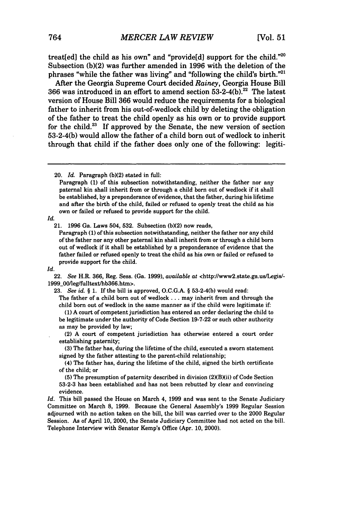treat[ed] the child as his own" and "provide[d] support for the child."<sup>20</sup> Subsection (b)(2) was further amended in 1996 with the deletion of the phrases "while the father was living" and "following the child's birth."21

After the Georgia Supreme Court decided *Rainey,* Georgia House Bill **366** was introduced in an effort to amend section **53-2-4(b). 2'** The latest version of House Bill **366** would reduce the requirements for a biological father to inherit from his out-of-wedlock child **by** deleting the obligation of the father to treat the child openly as his own or to provide support for the child.23 If approved **by** the Senate, the new version of section **53-2-4(b)** would allow the father of a child born out of wedlock to inherit through that child if the father does only one of the following: legiti-

*Id.*

Paragraph **(1)** of this subsection notwithstanding, neither the father nor any child of the father nor any other paternal kin shall inherit from or through a child born out of wedlock if it shall be established **by** a preponderance of evidence that the father failed or refused openly to treat the child as his own or failed or refused to provide support for the child.

#### Id.

22. *See* H.R. **366,** Reg. Sess. (Ga. **1999),** *available at* <http://www2.state.ga.us/Legis/- 1999\_00/leg/fulltext/hb366.htm>.

**23.** *See id. §* **1. If** the bill is approved, **O.C.G.A.** § **53-2-4(b)** would read:

The father of a child born out of wedlock... may inherit from and through the child born out of wedlock in the same manner as if the child were legitimate **if:**

**(1) A** court of competent jurisdiction has entered an order declaring the child to be legitimate under the authority of Code Section **19-7-22** or such other authority as may be provided **by** law;

(2) **A** court of competent jurisdiction has otherwise entered a court order establishing paternity;

**(3)** The father has, during the lifetime of the child, executed a sworn statement signed **by** the father attesting to the parent-child relationship;

(4) The father has, during the lifetime of the child, signed the birth certificate of the child; or

**(5)** The presumption of paternity described in division (2)(B)(ii) of Code Section **53-2-3** has been established and has not been rebutted **by** clear and convincing evidence.

*Id.* This bill passed the House on March 4, **1999** and was sent to the Senate Judiciary Committee on March **8, 1999.** Because the General Assembly's **1999** Regular Session adjourned with no action taken on the bill, the bill was carried over to the 2000 Regular Session. As of April **10,** 2000, the Senate Judiciary Committee had not acted on the bill. Telephone Interview with Senator Kemp's Office (Apr. **10,** 2000).

<sup>20.</sup> *Id.* Paragraph **(b)(2)** stated in full:

Paragraph **(1)** of this subsection notwithstanding, neither the father nor any paternal kin shall inherit from or through a child born out of wedlock if it shall be established, **by** a preponderance of evidence, that the father, during his lifetime and after the birth of the child, failed or refused to openly treat the child as his own or failed or refused to provide support for the child.

<sup>21.</sup> **1996** Ga. Laws 504, **532.** Subsection **(b)(2)** now reads,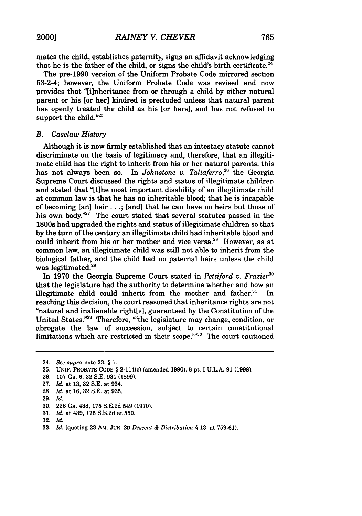mates the child, establishes paternity, signs an affidavit acknowledging that he is the father of the child, or signs the child's birth certificate.<sup>24</sup>

The pre-1990 version of the Uniform Probate Code mirrored section 53-2-4; however, the Uniform Probate Code was revised and now provides that "[i]nheritance from or through a child by either natural parent or his [or her] kindred is precluded unless that natural parent has openly treated the child as his [or hers], and has not refused to support the child."<sup>25</sup>

#### *B. Caselaw History*

Although it is now firmly established that an intestacy statute cannot discriminate on the basis of legitimacy and, therefore, that an illegitimate child has the right to inherit from his or her natural parents, this has not always been so. In *Johnstone v. Taliaferro*,<sup>26</sup> the Georgia Supreme Court discussed the rights and status of illegitimate children and stated that "[tihe most important disability of an illegitimate child at common law is that he has no inheritable blood; that he is incapable of becoming [an] heir ... ; [and] that he can have no heirs but those of his own body."<sup>27</sup> The court stated that several statutes passed in the 1800s had upgraded the rights and status of illegitimate children so that by the turn of the century an illegitimate child had inheritable blood and could inherit from his or her mother and vice versa.<sup>28</sup> However, as at common law, an illegitimate child was still not able to inherit from the biological father, and the child had no paternal heirs unless the child was legitimated.<sup>29</sup>

In **1970** the Georgia Supreme Court stated in *Pettiford v. Frazier"* that the legislature had the authority to determine whether and how an illegitimate child could inherit from the mother and father. $31$  In reaching this decision, the court reasoned that inheritance rights are not "natural and inalienable right[s], guaranteed **by** the Constitution of the United States."32 Therefore, "'the legislature may change, condition, or abrogate the law of succession, subject to certain constitutional limitations which are restricted in their scope.'"33 The court cautioned

**29.** *Id.*

**31.** *Id.* at 439, **175 S.E.2d** at **550.**

<sup>24.</sup> *See supra* note **23,** § **1.**

**<sup>25.</sup>** UNIF. PROBATE **CODE** § 2-114(c) (amended **1990),** 8 pt. **I U.L.A. 91 (1998).**

**<sup>26. 107</sup>** Ga. **6, 32 S.E. 931 (1899).**

**<sup>27.</sup>** *Id.* at **13, 32 S.E.** at 934.

**<sup>28.</sup>** *Id.* at **16, 32 S.E.** at **935.**

**<sup>30. 226</sup>** Ga. 438, **175 S.E.2d** 549 **(1970).**

**<sup>32.</sup>** *Id.*

**<sup>33.</sup>** *Id.* (quoting **23 AM.** JUR. **2D** *Descent & Distribution §* **13,** at 759-61).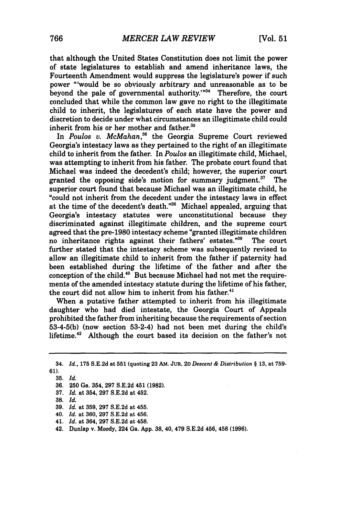that although the United States Constitution does not limit the power of state legislatures to establish and amend inheritance laws, the Fourteenth Amendment would suppress the legislature's power if such power "'would be so obviously arbitrary and unreasonable as to be beyond the pale of governmental authority.'"<sup>34</sup> Therefore, the court concluded that while the common law gave no right to the illegitimate child to inherit, the legislatures of each state have the power and discretion to decide under what circumstances an illegitimate child could inherit from his or her mother and father.<sup>35</sup>

In *Poulos v. McMahan,6* the Georgia Supreme Court reviewed Georgia's intestacy laws as they pertained to the right of an illegitimate child to inherit from the father. In *Poulos* an illegitimate child, Michael, was attempting to inherit from his father. The probate court found that Michael was indeed the decedent's child; however, the superior court granted the opposing side's motion for summary judgment. $37$  The superior court found that because Michael was an illegitimate child, he "could not inherit from the decedent under the intestacy laws in effect at the time of the decedent's death."<sup>38</sup> Michael appealed, arguing that Georgia's intestacy statutes were unconstitutional because they discriminated against illegitimate children, and the supreme court agreed that the pre-1980 intestacy scheme "granted illegitimate children no inheritance rights against their fathers' estates."39 The court further stated that the intestacy scheme was subsequently revised to allow an illegitimate child to inherit from the father if paternity had been established during the lifetime of the father and after the conception of the child. $40^{\circ}$  But because Michael had not met the requirements of the amended intestacy statute during the lifetime of his father, the court did not allow him to inherit from his father.<sup>41</sup>

When a putative father attempted to inherit from his illegitimate daughter who had died intestate, the Georgia Court of Appeals prohibited the father from inheriting because the requirements of section **53-4-5(b)** (now section 53-2-4) had not been met during the child's lifetime.42 Although the court based its decision on the father's not

- **37.** *Id.* at 354, **297 S.E.2d** at 452.
- **38.** *Id.*
- **39.** *Id.* at **359, 297 S.E.2d** at 455.
- 40. *Id.* at **360, 297 S.E.2d** at 456.
- 41. *Id.* at 364, **297 S.E.2d** at 458.
- 42. Dunlap v. Moody, 224 Ga. **App. 38,** 40, 479 **S.E.2d** 456, 458 **(1996).**

<sup>34.</sup> *Id.,* **175 S.E.2d** at **551** (quoting **23 AM. JUR. 2D** *Descent & Distribution §* **13,** at **759- 61).**

**<sup>35.</sup>** *Id.*

**<sup>36. 250</sup>** Ga. 354, **297 S.E.2d** 451 **(1982).**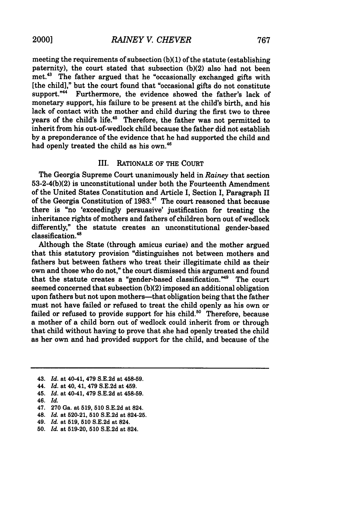meeting the requirements of subsection **(b)(1)** of the statute (establishing paternity), the court stated that subsection (b)(2) also had not been met.<sup>43</sup> The father argued that he "occasionally exchanged gifts with [the child]," but the court found that "occasional gifts do not constitute support."<sup>44</sup> Furthermore, the evidence showed the father's lack of monetary support, his failure to be present at the child's birth, and his lack of contact with the mother and child during the first two to three years of the child's life.<sup>45</sup> Therefore, the father was not permitted to inherit from his out-of-wedlock child because the father did not establish by a preponderance of the evidence that he had supported the child and had openly treated the child as his own.<sup>46</sup>

#### III. RATIONALE OF THE COURT

The Georgia Supreme Court unanimously held in *Rainey* that section 53-2-4(b)(2) is unconstitutional under both the Fourteenth Amendment of the United States Constitution and Article I, Section I, Paragraph II of the Georgia Constitution of **1983."'** The court reasoned that because there is "no 'exceedingly persuasive' justification for treating the inheritance rights of mothers and fathers of children born out of wedlock differently," the statute creates an unconstitutional gender-based classification.<sup>48</sup>

Although the State (through amicus curiae) and the mother argued that this statutory provision "distinguishes not between mothers and fathers but between fathers who treat their illegitimate child as their own and those who do not," the court dismissed this argument and found that the statute creates a "gender-based classification."<sup>49</sup> The court seemed concerned that subsection (b)(2) imposed an additional obligation upon fathers but not upon mothers—that obligation being that the father must not have failed or refused to treat the child openly as his own or failed or refused to provide support for his child.<sup>50</sup> Therefore, because a mother of a child born out of wedlock could inherit from or through that child without having to prove that she had openly treated the child as her own and had provided support for the child, and because of the

- 47. 270 Ga. at 519, 510 S.E.2d at 824.
- 48. *Id.* at 520-21, **510** S.E.2d at 824-25.
- 49. *Id.* at **519, 510** S.E.2d at 824.
- 50. *Id.* at 519-20, 510 S.E.2d at 824.

<sup>43.</sup> *Id.* at 40-41, 479 S.E.2d at 458-59.

<sup>44.</sup> *Id.* at 40, 41, 479 S.E.2d at 459.

<sup>45.</sup> *Id.* at 40-41, 479 S.E.2d at 458-59.

<sup>46.</sup> *Id.*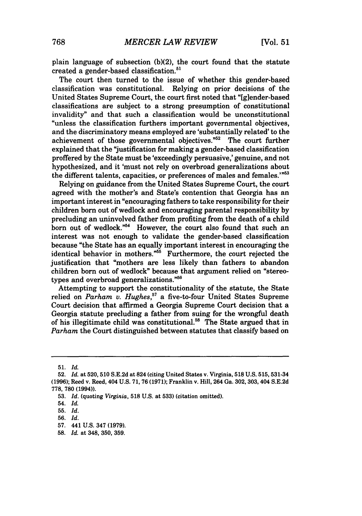plain language of subsection **(b)(2),** the court found that the statute created a gender-based classification.<sup>51</sup>

The court then turned to the issue of whether this gender-based classification was constitutional. Relying on prior decisions of the United States Supreme Court, the court first noted that "[glender-based classifications are subject to a strong presumption of constitutional invalidity" and that such a classification would be unconstitutional "unless the classification furthers important governmental objectives, and the discriminatory means employed are 'substantially related' to the achievement of those governmental objectives. $52^{\circ}$  The court further explained that the "justification for making a gender-based classification proffered **by** the State must be 'exceedingly persuasive,' genuine, and not hypothesized, and it 'must not rely on overbroad generalizations about the different talents, capacities, or preferences of males and females."<sup>553</sup>

Relying on guidance from the United States Supreme Court, the court agreed with the mother's and State's contention that Georgia has an important interest in "encouraging fathers to take responsibility for their children born out of wedlock and encouraging parental responsibility **by** precluding an uninvolved father from profiting from the death of a child born out of wedlock."<sup>54</sup> However, the court also found that such an interest was not enough to validate the gender-based classification because "the State has an equally important interest in encouraging the identical behavior in mothers.<sup>"55</sup> Furthermore, the court rejected the justification that "mothers are less likely than fathers to abandon children born out of wedlock" because that argument relied on "stereotypes and overbroad generalizations."<sup>56</sup>

Attempting to support the constitutionality of the statute, the State relied on *Parham v. Hughes,"* a five-to-four United States Supreme Court decision that affirmed a Georgia Supreme Court decision that a Georgia statute precluding a father from suing for the wrongful death of his illegitimate child was constitutional.<sup>58</sup> The State argued that in *Parham* the Court distinguished between statutes that classify based on

**<sup>51.</sup>** *Id.*

<sup>52.</sup> *Id.* at 520,510 S.E.2d at 824 (citing United States v. Virginia, **518** U.S. 515, 531-34 (1996); Reed v. Reed, 404 U.S. 71, 76(1971); Franklin v. Hill, 264 Ga. 302, 303, 404 S.E.2d 778, **780** (1994)).

<sup>53.</sup> *Id.* (quoting *Virginia,* **518** U.S. at **533)** (citation omitted).

<sup>54.</sup> *Id.*

**<sup>55.</sup>** *Id.*

**<sup>56.</sup>** *Id.*

**<sup>57.</sup>** 441 **U.S.** 347 **(1979).**

**<sup>58.</sup>** *Id.* at 348, **350, 359.**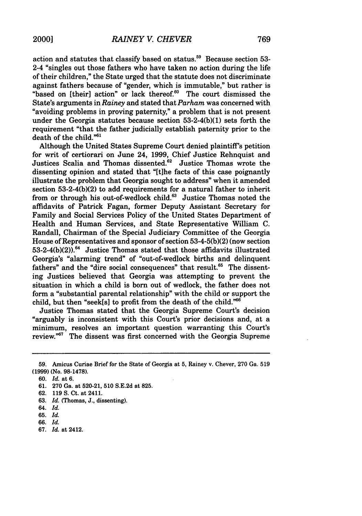action and statutes that classify based on status.<sup>59</sup> Because section 53-2-4 "singles out those fathers who have taken no action during the life of their children," the State urged that the statute does not discriminate against fathers because of "gender, which is immutable," but rather is "based on [their] action" or lack thereof.<sup>60</sup> The court dismissed the State's arguments in *Rainey* and stated that *Parham* was concerned with "avoiding problems in proving paternity," a problem that is not present under the Georgia statutes because section 53-2-4(b)(1) sets forth the requirement "that the father judicially establish paternity prior to the death of the child."<sup>61</sup>

Although the United States Supreme Court denied plaintiff's petition for writ of certiorari on June 24, 1999, Chief Justice Rehnquist and Justices Scalia and Thomas dissented.<sup>62</sup> Justice Thomas wrote the dissenting opinion and stated that "[tihe facts of this case poignantly illustrate the problem that Georgia sought to address" when it amended section 53-2-4(b)(2) to add requirements for a natural father to inherit from or through his out-of-wedlock child.<sup>63</sup> Justice Thomas noted the affidavits of Patrick Fagan, former Deputy Assistant Secretary for Family and Social Services Policy of the United States Department of Health and Human Services, and State Representative William C. Randall, Chairman of the Special Judiciary Committee of the Georgia House of Representatives and sponsor of section 53-4-5(b)(2) (now section 53-2-4(b)(2)).<sup>64</sup> Justice Thomas stated that those affidavits illustrated Georgia's "alarming trend" of "out-of-wedlock births and delinquent fathers" and the "dire social consequences" that result.<sup>65</sup> The dissenting Justices believed that Georgia was attempting to prevent the situation in which a child is born out of wedlock, the father does not form a "substantial parental relationship" with the child or support the child, but then "seek[s] to profit from the death of the child."66

Justice Thomas stated that the Georgia Supreme Court's decision "arguably is inconsistent with this Court's prior decisions and, at a minimum, resolves an important question warranting this Court's review.<sup>"67</sup> The dissent was first concerned with the Georgia Supreme

**67.** *Id.* at 2412.

<sup>59.</sup> Amicus Curiae Brief for the State of Georgia at 5, Rainey v. Chever, 270 Ga. 519 (1999) (No. 98-1478).

<sup>60.</sup> *Id.* at 6.

<sup>61. 270</sup> Ga. at 520-21, 510 S.E.2d at 825.

<sup>62. 119</sup> **S.** Ct. at 2411.

**<sup>63.</sup>** *Id.* (Thomas, **J.,** dissenting).

<sup>64.</sup> *Id.*

**<sup>65.</sup>** *Id.*

**<sup>66.</sup>** *Id.*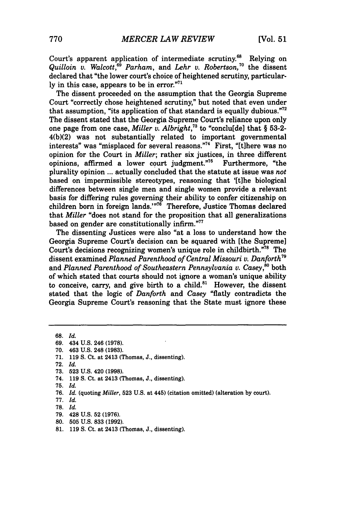Court's apparent application of intermediate scrutiny.<sup>68</sup> Relying on *Quilloin v. Walcott*,<sup>69</sup> Parham, and *Lehr v. Robertson*,<sup>70</sup> the dissent declared that "the lower court's choice of heightened scrutiny, particularly in this case, appears to be in error."71

The dissent proceeded on the assumption that the Georgia Supreme Court "correctly chose heightened scrutiny," but noted that even under that assumption, "its application of that standard is equally dubious."<sup>72</sup> The dissent stated that the Georgia Supreme Court's reliance upon only one page from one case, *Miller v. Albright,"* to "conclu[de] that § 53-2- 4(b)(2) was not substantially related to important governmental interests" was "misplaced for several reasons."<sup>74</sup> First, "[t]here was no opinion for the Court in *Miller*; rather six justices, in three different opinions, affirmed a lower court judgment."<sup>75</sup> Furthermore, "the opinions, affirmed a lower court judgment."<sup>75</sup> plurality opinion **...** actually concluded that the statute at issue was *not* based on impermissible stereotypes, reasoning that '[t]he biological differences between single men and single women provide a relevant basis for differing rules governing their ability to confer citizenship on children born in foreign lands.'"<sup>76</sup> Therefore, Justice Thomas declared that *Miller* "does not stand for the proposition that all generalizations based on gender are constitutionally infirm."77

The dissenting Justices were also "at a loss to understand how the Georgia Supreme Court's decision can be squared with [the Supreme] Court's decisions recognizing women's unique role in childbirth."78 The dissent examined *Planned Parenthood of Central Missouri v. Danforth79* and *Planned Parenthood of Southeastern Pennsylvania v. Casey*,<sup>80</sup> both of which stated that courts should not ignore a woman's unique ability to conceive, carry, and give birth to a child. $81$  However, the dissent stated that the logic of *Danforth and Casey* "flatly contradicts the Georgia Supreme Court's reasoning that the State must ignore these

**<sup>68.</sup>** *Id.*

**<sup>69.</sup>** 434 **U.S.** 246 **(1978).**

**<sup>70.</sup>** 463 **U.S.** 248 **(1983).**

**<sup>71. 119</sup> S.** Ct. at 2413 (Thomas, **J.,** dissenting).

**<sup>72.</sup>** *Id.*

**<sup>73. 523</sup> U.S.** 420 **(1998).**

<sup>74.</sup> **119 S.** Ct. at 2413 (Thomas, **J.,** dissenting).

**<sup>75.</sup>** *Id.*

**<sup>76.</sup>** *Id.* (quoting *Miller,* **523 U.S.** at 445) (citation omitted) (alteration **by** court).

**<sup>77.</sup>** *Id.*

**<sup>78.</sup>** *Id.*

<sup>79. 428</sup> U.S. 52 (1976).

<sup>80.</sup> **505** U.S. 833 (1992).

<sup>81. 119</sup> **S.** Ct. at 2413 (Thomas, J., dissenting).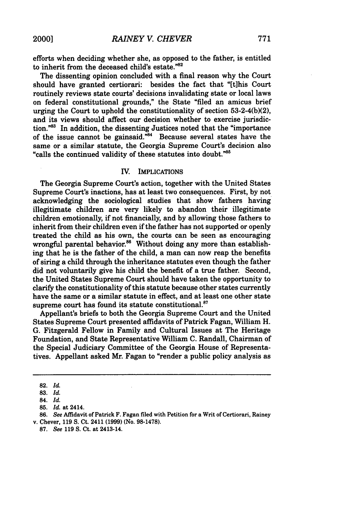efforts when deciding whether she, as opposed to the father, is entitled to inherit from the deceased child's estate." $82$ 

The dissenting opinion concluded with a final reason why the Court should have granted certiorari: besides the fact that "[t]his Court routinely reviews state courts' decisions invalidating state or local laws on federal constitutional grounds," the State "filed an amicus brief urging the Court to uphold the constitutionality of section 53-2-4(b)(2), and its views should affect our decision whether to exercise jurisdiction."<sup>83</sup> In addition, the dissenting Justices noted that the "importance of the issue cannot be gainsaid."<sup>84</sup> Because several states have the same or a similar statute, the Georgia Supreme Court's decision also "calls the continued validity of these statutes into doubt." $85$ 

#### IV. IMPLICATIONS

The Georgia Supreme Court's action, together with the United States Supreme Court's inactions, has at least two consequences. First, by not acknowledging the sociological studies that show fathers having illegitimate children are very likely to abandon their illegitimate children emotionally, if not financially, and by allowing those fathers to inherit from their children even if the father has not supported or openly treated the child as his own, the courts can be seen as encouraging wrongful parental behavior.<sup>86</sup> Without doing any more than establishing that he is the father of the child, a man can now reap the benefits of siring a child through the inheritance statutes even though the father did not voluntarily give his child the benefit of a true father. Second, the United States Supreme Court should have taken the opportunity to clarify the constitutionality of this statute because other states currently have the same or a similar statute in effect, and at least one other state supreme court has found its statute constitutional.<sup>87</sup>

Appellant's briefs to both the Georgia Supreme Court and the United States Supreme Court presented affidavits of Patrick Fagan, William H. **G.** Fitzgerald Fellow in Family and Cultural Issues at The Heritage Foundation, and State Representative William **C.** Randall, Chairman of the Special Judiciary Committee of the Georgia House of Representatives. Appellant asked Mr. Fagan to "render a public policy analysis as

**<sup>82.</sup>** *Id.*

**<sup>83.</sup>** *Id.*

<sup>84.</sup> *Id.*

**<sup>85.</sup>** *Id.* at 2414.

**<sup>86.</sup>** *See* Affidavit of Patrick F. Fagan filed with Petition for a Writ of Certiorari, Rainey v. Chever, **119 S.** Ct. 2411 **(1999)** (No. **98-1478).**

**<sup>87.</sup>** *See* **119 S.** Ct. at 2413-14.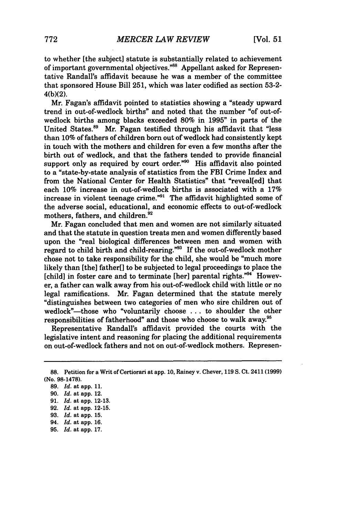to whether [the subject] statute is substantially related to achievement of important governmental objectives."<sup>88</sup> Appellant asked for Representative Randall's affidavit because he was a member of the committee that sponsored House Bill 251, which was later codified as section 53-2- 4(b)(2).

Mr. Fagan's affidavit pointed to statistics showing a "steady upward trend in out-of-wedlock births" and noted that the number "of out-ofwedlock births among blacks exceeded 80% in 1995" in parts of the United States.<sup>89</sup> Mr. Fagan testified through his affidavit that "less" than 10% of fathers of children born out of wedlock had consistently kept in touch with the mothers and children for even a few months after the birth out of wedlock, and that the fathers tended to provide financial support only as required by court order."<sup>90</sup> His affidavit also pointed to a "state-by-state analysis of statistics from the FBI Crime Index and from the National Center for Health Statistics" that "reveal[ed] that each **10%** increase in out-of-wedlock births is associated with a **17%** increase in violent teenage crime."<sup>91</sup> The affidavit highlighted some of the adverse social, educational, and economic effects to out-of-wedlock mothers, fathers, and children.<sup>92</sup>

Mr. Fagan concluded that men and women are not similarly situated and that the statute in question treats men and women differently based upon the "real biological differences between men and women with regard to child birth and child-rearing."93 If the out-of-wedlock mother chose not to take responsibility for the child, she would be "much more likely than [the] father[] to be subjected to legal proceedings to place the [child] in foster care and to terminate [her] parental rights."94 However, a father can walk away from his out-of-wedlock child with little or no legal ramifications. Mr. Fagan determined that the statute merely "distinguishes between two categories of men who sire children out of wedlock"-those who "voluntarily choose ... to shoulder the other responsibilities of fatherhood" and those who choose to walk away.<sup>98</sup>

Representative Randall's affidavit provided the courts with the legislative intent and reasoning for placing the additional requirements on out-of-wedlock fathers and not on out-of-wedlock mothers. Represen-

**93.** *Id.* at app. **15.**

**95.** *Id.* at app. 17.

**<sup>88.</sup>** Petition for a Writ of Certiorari at app. 10, Rainey v. Chever, **119** S. Ct. 2411 **(1999)** (No. 98-1478).

**<sup>89.</sup>** *Id.* at app. 11.

**<sup>90.</sup>** *Id.* at app. 12.

**<sup>91.</sup>** *Id.* at app. 12-13.

**<sup>92.</sup>** *Id.* at app. 12-15.

<sup>94.</sup> *Id.* at app. **16.**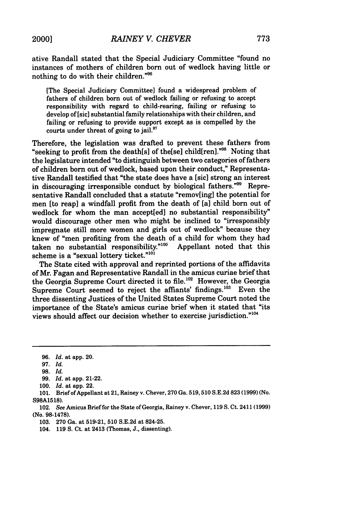ative Randall stated that the Special Judiciary Committee "found no instances of mothers of children born out of wedlock having little or nothing to do with their children."<sup>96</sup>

[The Special Judiciary Committee] found a widespread problem of fathers of children born out of wedlock failing or refusing to accept responsibility with regard to child-rearing, failing or refusing to develop of [sic] substantial family relationships with their children, and failing or refusing to provide support except as is compelled by the courts under threat of going to jail.<sup>97</sup>

Therefore, the legislation was drafted to prevent these fathers from "seeking to profit from the death[s] of the[se] child[ren]."<sup>98</sup> Noting that the legislature intended "to distinguish between two categories of fathers of children born out of wedlock, based upon their conduct," Representative Randall testified that "the state does have a [sic] strong an interest in discouraging irresponsible conduct by biological fathers."<sup>99</sup> Representative Randall concluded that a statute "remov[ing] the potential for men [to reap] a windfall profit from the death of [a] child born out of wedlock for whom the man accept[ed] no substantial responsibility" would discourage other men who might be inclined to "irresponsibly impregnate still more women and girls out of wedlock" because they knew of "men profiting from the death of a child for whom they had taken no substantial responsibility."<sup>100</sup> Appellant noted that this scheme is a "sexual lottery ticket."<sup>101</sup>

The State cited with approval and reprinted portions of the affidavits of Mr. Fagan and Representative Randall in the amicus curiae brief that the Georgia Supreme Court directed it to file.<sup>102</sup> However, the Georgia Supreme Court seemed to reject the affiants' findings.<sup>103</sup> Even the three dissenting Justices of the United States Supreme Court noted the importance of the State's amicus curiae brief when it stated that "its views should affect our decision whether to exercise jurisdiction."'

<sup>96.</sup> *Id.* at app. 20.

<sup>97.</sup> *Id.*

**<sup>98.</sup>** *Id.*

<sup>99.</sup> *Id.* at app. 21-22.

<sup>100.</sup> *Id.* at app. 22.

<sup>101.</sup> Brief of Appellant at 21, Rainey v. Chever, 270 Ga. 519,510 S.E.2d 823 (1999) (No. S98A1518).

<sup>102.</sup> *See* Amicus Brief for the State of Georgia, Rainey v. Chever, 119 S. Ct. 2411 (1999) (No. 98-1478).

<sup>103. 270</sup> Ga. at 519-21, 510 S.E.2d at 824-25.

<sup>104. 119</sup> S. Ct. at 2413 (Thomas, J., dissenting).